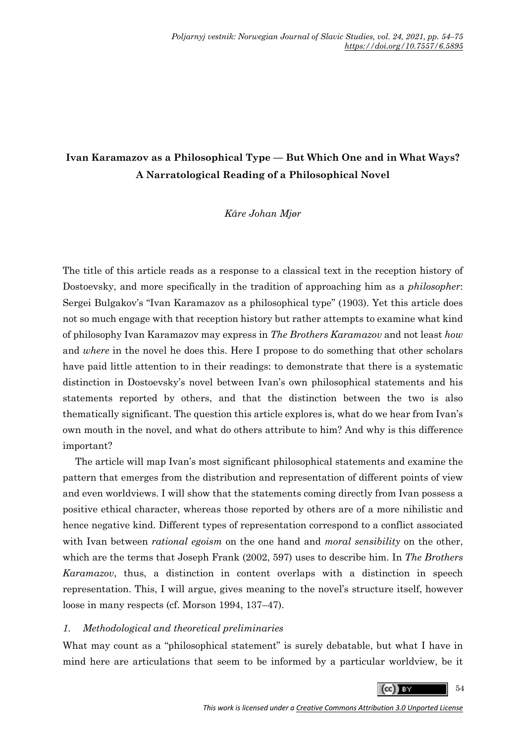# **Ivan Karamazov as a Philosophical Type — But Which One and in What Ways? A Narratological Reading of a Philosophical Novel**

## *Kåre Johan Mjør*

The title of this article reads as a response to a classical text in the reception history of Dostoevsky, and more specifically in the tradition of approaching him as a *philosopher*: Sergei Bulgakov's "Ivan Karamazov as a philosophical type" (1903). Yet this article does not so much engage with that reception history but rather attempts to examine what kind of philosophy Ivan Karamazov may express in *The Brothers Karamazov* and not least *how* and *where* in the novel he does this. Here I propose to do something that other scholars have paid little attention to in their readings: to demonstrate that there is a systematic distinction in Dostoevsky's novel between Ivan's own philosophical statements and his statements reported by others, and that the distinction between the two is also thematically significant. The question this article explores is, what do we hear from Ivan's own mouth in the novel, and what do others attribute to him? And why is this difference important?

The article will map Ivan's most significant philosophical statements and examine the pattern that emerges from the distribution and representation of different points of view and even worldviews. I will show that the statements coming directly from Ivan possess a positive ethical character, whereas those reported by others are of a more nihilistic and hence negative kind. Different types of representation correspond to a conflict associated with Ivan between *rational egoism* on the one hand and *moral sensibility* on the other, which are the terms that Joseph Frank (2002, 597) uses to describe him. In *The Brothers Karamazov*, thus, a distinction in content overlaps with a distinction in speech representation. This, I will argue, gives meaning to the novel's structure itself, however loose in many respects (cf. Morson 1994, 137–47).

# *1. Methodological and theoretical preliminaries*

What may count as a "philosophical statement" is surely debatable, but what I have in mind here are articulations that seem to be informed by a particular worldview, be it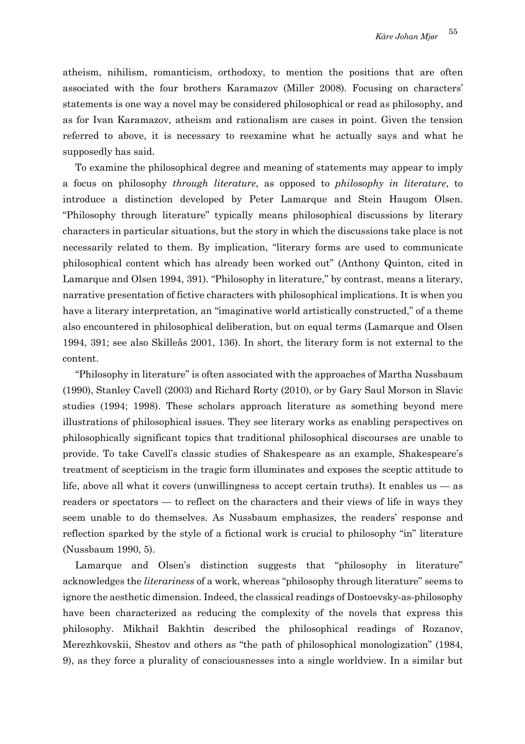atheism, nihilism, romanticism, orthodoxy, to mention the positions that are often associated with the four brothers Karamazov (Miller 2008). Focusing on characters' statements is one way a novel may be considered philosophical or read as philosophy, and as for Ivan Karamazov, atheism and rationalism are cases in point. Given the tension referred to above, it is necessary to reexamine what he actually says and what he supposedly has said.

To examine the philosophical degree and meaning of statements may appear to imply a focus on philosophy *through literature*, as opposed to *philosophy in literature*, to introduce a distinction developed by Peter Lamarque and Stein Haugom Olsen. "Philosophy through literature" typically means philosophical discussions by literary characters in particular situations, but the story in which the discussions take place is not necessarily related to them. By implication, "literary forms are used to communicate philosophical content which has already been worked out" (Anthony Quinton, cited in Lamarque and Olsen 1994, 391). "Philosophy in literature," by contrast, means a literary, narrative presentation of fictive characters with philosophical implications. It is when you have a literary interpretation, an "imaginative world artistically constructed," of a theme also encountered in philosophical deliberation, but on equal terms (Lamarque and Olsen 1994, 391; see also Skilleås 2001, 136). In short, the literary form is not external to the content.

"Philosophy in literature" is often associated with the approaches of Martha Nussbaum (1990), Stanley Cavell (2003) and Richard Rorty (2010), or by Gary Saul Morson in Slavic studies (1994; 1998). These scholars approach literature as something beyond mere illustrations of philosophical issues. They see literary works as enabling perspectives on philosophically significant topics that traditional philosophical discourses are unable to provide. To take Cavell's classic studies of Shakespeare as an example, Shakespeare's treatment of scepticism in the tragic form illuminates and exposes the sceptic attitude to life, above all what it covers (unwillingness to accept certain truths). It enables us — as readers or spectators — to reflect on the characters and their views of life in ways they seem unable to do themselves. As Nussbaum emphasizes, the readers' response and reflection sparked by the style of a fictional work is crucial to philosophy "in" literature (Nussbaum 1990, 5).

Lamarque and Olsen's distinction suggests that "philosophy in literature" acknowledges the *literariness* of a work, whereas "philosophy through literature" seems to ignore the aesthetic dimension. Indeed, the classical readings of Dostoevsky-as-philosophy have been characterized as reducing the complexity of the novels that express this philosophy. Mikhail Bakhtin described the philosophical readings of Rozanov, Merezhkovskii, Shestov and others as "the path of philosophical monologization" (1984, 9), as they force a plurality of consciousnesses into a single worldview. In a similar but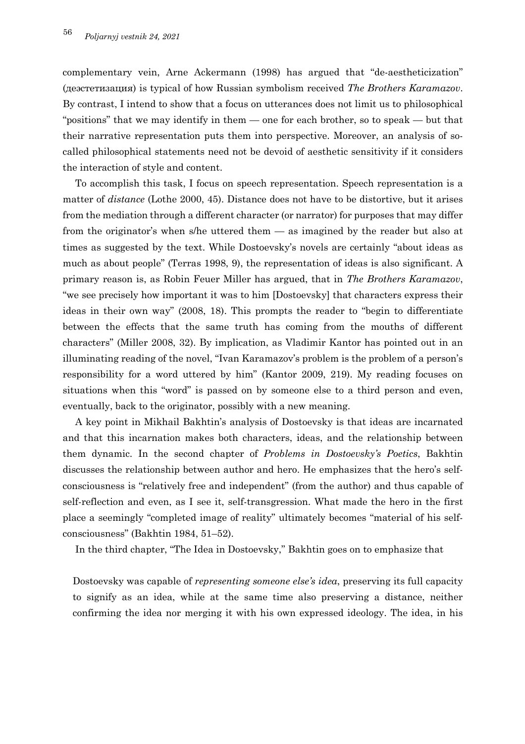complementary vein, Arne Ackermann (1998) has argued that "de-aestheticization" (деэстетизация) is typical of how Russian symbolism received *The Brothers Karamazov*. By contrast, I intend to show that a focus on utterances does not limit us to philosophical "positions" that we may identify in them — one for each brother, so to speak — but that their narrative representation puts them into perspective. Moreover, an analysis of socalled philosophical statements need not be devoid of aesthetic sensitivity if it considers the interaction of style and content.

To accomplish this task, I focus on speech representation. Speech representation is a matter of *distance* (Lothe 2000, 45). Distance does not have to be distortive, but it arises from the mediation through a different character (or narrator) for purposes that may differ from the originator's when s/he uttered them — as imagined by the reader but also at times as suggested by the text. While Dostoevsky's novels are certainly "about ideas as much as about people" (Terras 1998, 9), the representation of ideas is also significant. A primary reason is, as Robin Feuer Miller has argued, that in *The Brothers Karamazov*, "we see precisely how important it was to him [Dostoevsky] that characters express their ideas in their own way" (2008, 18). This prompts the reader to "begin to differentiate between the effects that the same truth has coming from the mouths of different characters" (Miller 2008, 32). By implication, as Vladimir Kantor has pointed out in an illuminating reading of the novel, "Ivan Karamazov's problem is the problem of a person's responsibility for a word uttered by him" (Kantor 2009, 219). My reading focuses on situations when this "word" is passed on by someone else to a third person and even, eventually, back to the originator, possibly with a new meaning.

A key point in Mikhail Bakhtin's analysis of Dostoevsky is that ideas are incarnated and that this incarnation makes both characters, ideas, and the relationship between them dynamic. In the second chapter of *Problems in Dostoevsky's Poetics*, Bakhtin discusses the relationship between author and hero. He emphasizes that the hero's selfconsciousness is "relatively free and independent" (from the author) and thus capable of self-reflection and even, as I see it, self-transgression. What made the hero in the first place a seemingly "completed image of reality" ultimately becomes "material of his selfconsciousness" (Bakhtin 1984, 51–52).

In the third chapter, "The Idea in Dostoevsky," Bakhtin goes on to emphasize that

Dostoevsky was capable of *representing someone else's idea*, preserving its full capacity to signify as an idea, while at the same time also preserving a distance, neither confirming the idea nor merging it with his own expressed ideology. The idea, in his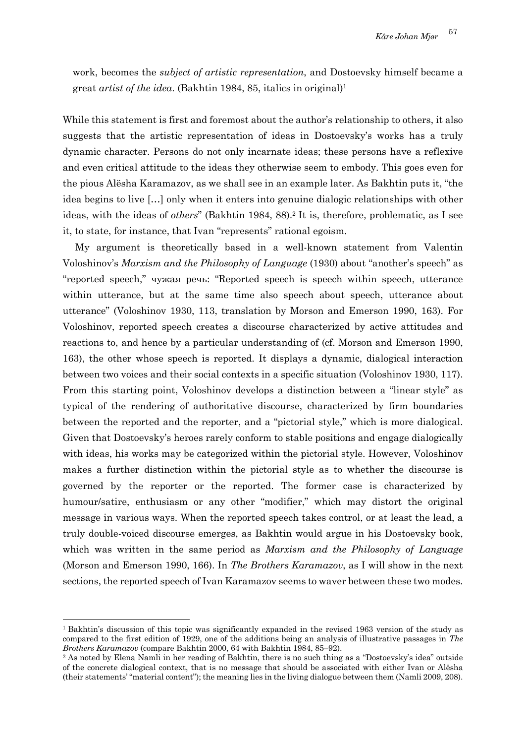work, becomes the *subject of artistic representation*, and Dostoevsky himself became a great *artist of the idea*. (Bakhtin 1984, 85, italics in original)1

While this statement is first and foremost about the author's relationship to others, it also suggests that the artistic representation of ideas in Dostoevsky's works has a truly dynamic character. Persons do not only incarnate ideas; these persons have a reflexive and even critical attitude to the ideas they otherwise seem to embody. This goes even for the pious Alësha Karamazov, as we shall see in an example later. As Bakhtin puts it, "the idea begins to live […] only when it enters into genuine dialogic relationships with other ideas, with the ideas of *others*" (Bakhtin 1984, 88).2 It is, therefore, problematic, as I see it, to state, for instance, that Ivan "represents" rational egoism.

My argument is theoretically based in a well-known statement from Valentin Voloshinov's *Marxism and the Philosophy of Language* (1930) about "another's speech" as "reported speech," чужая речь: "Reported speech is speech within speech, utterance within utterance, but at the same time also speech about speech, utterance about utterance" (Voloshinov 1930, 113, translation by Morson and Emerson 1990, 163). For Voloshinov, reported speech creates a discourse characterized by active attitudes and reactions to, and hence by a particular understanding of (cf. Morson and Emerson 1990, 163), the other whose speech is reported. It displays a dynamic, dialogical interaction between two voices and their social contexts in a specific situation (Voloshinov 1930, 117). From this starting point, Voloshinov develops a distinction between a "linear style" as typical of the rendering of authoritative discourse, characterized by firm boundaries between the reported and the reporter, and a "pictorial style," which is more dialogical. Given that Dostoevsky's heroes rarely conform to stable positions and engage dialogically with ideas, his works may be categorized within the pictorial style. However, Voloshinov makes a further distinction within the pictorial style as to whether the discourse is governed by the reporter or the reported. The former case is characterized by humour/satire, enthusiasm or any other "modifier," which may distort the original message in various ways. When the reported speech takes control, or at least the lead, a truly double-voiced discourse emerges, as Bakhtin would argue in his Dostoevsky book, which was written in the same period as *Marxism and the Philosophy of Language* (Morson and Emerson 1990, 166). In *The Brothers Karamazov*, as I will show in the next sections, the reported speech of Ivan Karamazov seems to waver between these two modes.

<sup>1</sup> Bakhtin's discussion of this topic was significantly expanded in the revised 1963 version of the study as compared to the first edition of 1929, one of the additions being an analysis of illustrative passages in *The Brothers Karamazov* (compare Bakhtin 2000, 64 with Bakhtin 1984, 85–92). <sup>2</sup> As noted by Elena Namli in her reading of Bakhtin, there is no such thing as a "Dostoevsky's idea" outside

of the concrete dialogical context, that is no message that should be associated with either Ivan or Alësha (their statements' "material content"); the meaning lies in the living dialogue between them (Namli 2009, 208).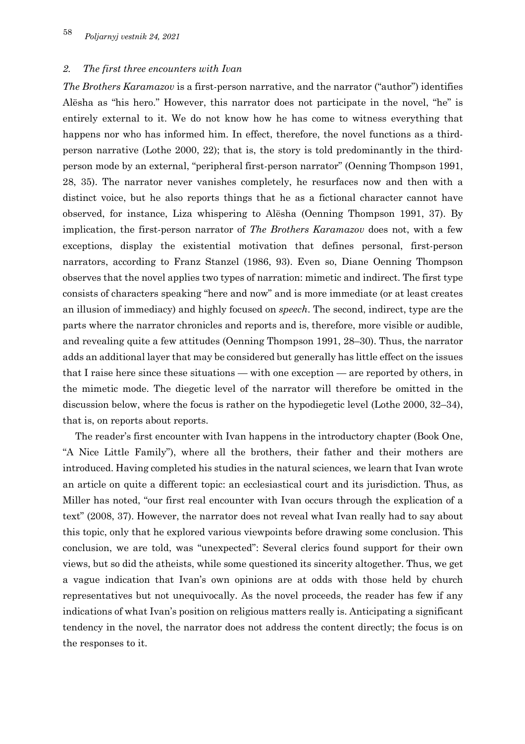#### *2. The first three encounters with Ivan*

*The Brothers Karamazov* is a first-person narrative, and the narrator ("author") identifies Alësha as "his hero." However, this narrator does not participate in the novel, "he" is entirely external to it. We do not know how he has come to witness everything that happens nor who has informed him. In effect, therefore, the novel functions as a thirdperson narrative (Lothe 2000, 22); that is, the story is told predominantly in the thirdperson mode by an external, "peripheral first-person narrator" (Oenning Thompson 1991, 28, 35). The narrator never vanishes completely, he resurfaces now and then with a distinct voice, but he also reports things that he as a fictional character cannot have observed, for instance, Liza whispering to Alësha (Oenning Thompson 1991, 37). By implication, the first-person narrator of *The Brothers Karamazov* does not, with a few exceptions, display the existential motivation that defines personal, first-person narrators, according to Franz Stanzel (1986, 93). Even so, Diane Oenning Thompson observes that the novel applies two types of narration: mimetic and indirect. The first type consists of characters speaking "here and now" and is more immediate (or at least creates an illusion of immediacy) and highly focused on *speech*. The second, indirect, type are the parts where the narrator chronicles and reports and is, therefore, more visible or audible, and revealing quite a few attitudes (Oenning Thompson 1991, 28–30). Thus, the narrator adds an additional layer that may be considered but generally has little effect on the issues that I raise here since these situations — with one exception — are reported by others, in the mimetic mode. The diegetic level of the narrator will therefore be omitted in the discussion below, where the focus is rather on the hypodiegetic level (Lothe 2000, 32–34), that is, on reports about reports.

The reader's first encounter with Ivan happens in the introductory chapter (Book One, "A Nice Little Family"), where all the brothers, their father and their mothers are introduced. Having completed his studies in the natural sciences, we learn that Ivan wrote an article on quite a different topic: an ecclesiastical court and its jurisdiction. Thus, as Miller has noted, "our first real encounter with Ivan occurs through the explication of a text" (2008, 37). However, the narrator does not reveal what Ivan really had to say about this topic, only that he explored various viewpoints before drawing some conclusion. This conclusion, we are told, was "unexpected": Several clerics found support for their own views, but so did the atheists, while some questioned its sincerity altogether. Thus, we get a vague indication that Ivan's own opinions are at odds with those held by church representatives but not unequivocally. As the novel proceeds, the reader has few if any indications of what Ivan's position on religious matters really is. Anticipating a significant tendency in the novel, the narrator does not address the content directly; the focus is on the responses to it.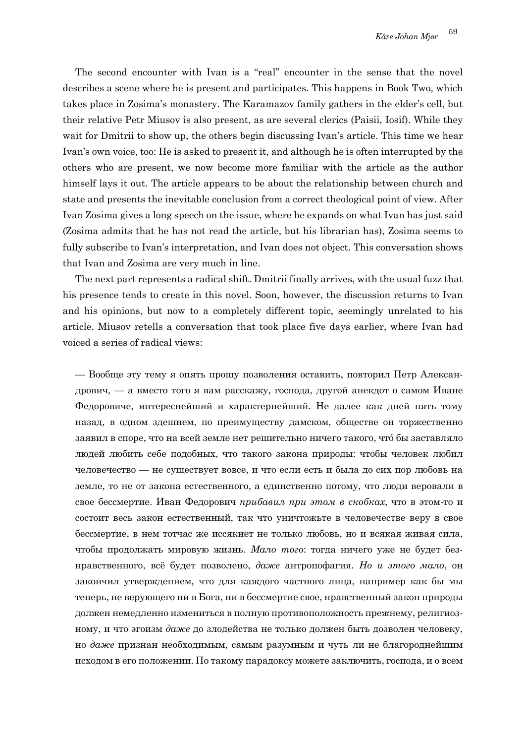The second encounter with Ivan is a "real" encounter in the sense that the novel describes a scene where he is present and participates. This happens in Book Two, which takes place in Zosima's monastery. The Karamazov family gathers in the elder's cell, but their relative Petr Miusov is also present, as are several clerics (Paisii, Iosif). While they wait for Dmitrii to show up, the others begin discussing Ivan's article. This time we hear Ivan's own voice, too: He is asked to present it, and although he is often interrupted by the others who are present, we now become more familiar with the article as the author himself lays it out. The article appears to be about the relationship between church and state and presents the inevitable conclusion from a correct theological point of view. After Ivan Zosima gives a long speech on the issue, where he expands on what Ivan has just said (Zosima admits that he has not read the article, but his librarian has), Zosima seems to fully subscribe to Ivan's interpretation, and Ivan does not object. This conversation shows that Ivan and Zosima are very much in line.

The next part represents a radical shift. Dmitrii finally arrives, with the usual fuzz that his presence tends to create in this novel. Soon, however, the discussion returns to Ivan and his opinions, but now to a completely different topic, seemingly unrelated to his article. Miusov retells a conversation that took place five days earlier, where Ivan had voiced a series of radical views:

— Вообще эту тему я опять прошу позволения оставить, повторил Петр Александрович, — а вместо того я вам расскажу, господа, другой анекдот о самом Иване Федоровиче, интереснейший и характернейший. Не далее как дней пять тому назад, в одном здешнем, по преимуществу дамском, обществе он торжественно заявил в споре, что на всей земле нет решительно ничего такого, чтó бы заставляло людей любить себе подобных, что такого закона природы: чтобы человек любил человечество — не существует вовсе, и что если есть и была до сих пор любовь на земле, то не от закона естественного, а единственно потому, что люди веровали в свое бессмертие. Иван Федорович *прибавил при этом в скобках*, что в этом-то и состоит весь закон естественный, так что уничтожьте в человечестве веру в свое бессмертие, в нем тотчас же иссякнет не только любовь, но и всякая живая сила, чтобы продолжать мировую жизнь. *Мало того*: тогда ничего уже не будет безнравственного, всё будет позволено, *даже* антропофагия. *Но и этого мало*, он закончил утверждением, что для каждого частного лица, например как бы мы теперь, не верующего ни в Бога, ни в бессмертие свое, нравственный закон природы должен немедленно измениться в полную противоположность прежнему, религиозному, и что эгоизм *даже* до злодейства не только должен быть дозволен человеку, но *даже* признан необходимым, самым разумным и чуть ли не благороднейшим исходом в его положении. По такому парадоксу можете заключить, господа, и о всем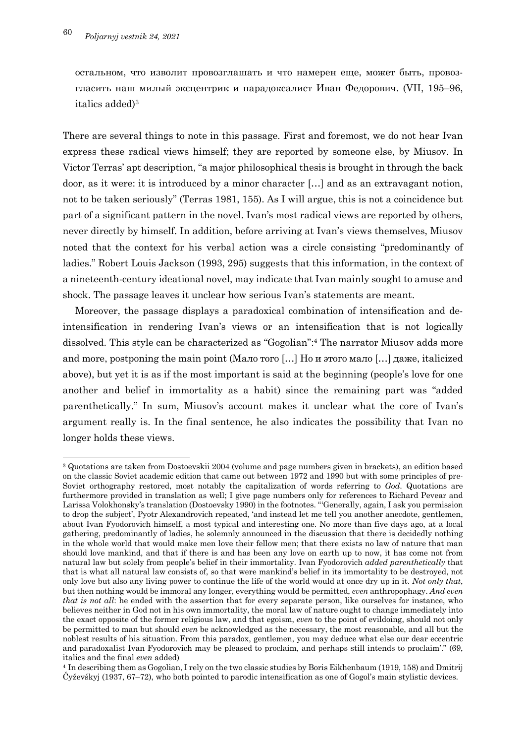остальном, что изволит провозглашать и что намерен еще, может быть, провозгласить наш милый эксцентрик и парадоксалист Иван Федорович. (VII, 195–96, italics added)3

There are several things to note in this passage. First and foremost, we do not hear Ivan express these radical views himself; they are reported by someone else, by Miusov. In Victor Terras' apt description, "a major philosophical thesis is brought in through the back door, as it were: it is introduced by a minor character […] and as an extravagant notion, not to be taken seriously" (Terras 1981, 155). As I will argue, this is not a coincidence but part of a significant pattern in the novel. Ivan's most radical views are reported by others, never directly by himself. In addition, before arriving at Ivan's views themselves, Miusov noted that the context for his verbal action was a circle consisting "predominantly of ladies." Robert Louis Jackson (1993, 295) suggests that this information, in the context of a nineteenth-century ideational novel, may indicate that Ivan mainly sought to amuse and shock. The passage leaves it unclear how serious Ivan's statements are meant.

Moreover, the passage displays a paradoxical combination of intensification and deintensification in rendering Ivan's views or an intensification that is not logically dissolved. This style can be characterized as "Gogolian": <sup>4</sup> The narrator Miusov adds more and more, postponing the main point (Мало того […] Но и этого мало […] даже, italicized above), but yet it is as if the most important is said at the beginning (people's love for one another and belief in immortality as a habit) since the remaining part was "added parenthetically." In sum, Miusov's account makes it unclear what the core of Ivan's argument really is. In the final sentence, he also indicates the possibility that Ivan no longer holds these views.

<sup>3</sup> Quotations are taken from Dostoevskii 2004 (volume and page numbers given in brackets), an edition based on the classic Soviet academic edition that came out between 1972 and 1990 but with some principles of pre-Soviet orthography restored, most notably the capitalization of words referring to *God*. Quotations are furthermore provided in translation as well; I give page numbers only for references to Richard Pevear and Larissa Volokhonsky's translation (Dostoevsky 1990) in the footnotes. "'Generally, again, I ask you permission to drop the subject', Pyotr Alexandrovich repeated, 'and instead let me tell you another anecdote, gentlemen, about Ivan Fyodorovich himself, a most typical and interesting one. No more than five days ago, at a local gathering, predominantly of ladies, he solemnly announced in the discussion that there is decidedly nothing in the whole world that would make men love their fellow men; that there exists no law of nature that man should love mankind, and that if there is and has been any love on earth up to now, it has come not from natural law but solely from people's belief in their immortality. Ivan Fyodorovich *added parenthetically* that that is what all natural law consists of, so that were mankind's belief in its immortality to be destroyed, not only love but also any living power to continue the life of the world would at once dry up in it. *Not only that*, but then nothing would be immoral any longer, everything would be permitted, *even* anthropophagy. *And even that is not all*: he ended with the assertion that for every separate person, like ourselves for instance, who believes neither in God not in his own immortality, the moral law of nature ought to change immediately into the exact opposite of the former religious law, and that egoism, *even* to the point of evildoing, should not only be permitted to man but should *even* be acknowledged as the necessary, the most reasonable, and all but the noblest results of his situation. From this paradox, gentlemen, you may deduce what else our dear eccentric and paradoxalist Ivan Fyodorovich may be pleased to proclaim, and perhaps still intends to proclaim'." (69, italics and the final *even* added)

<sup>4</sup> In describing them as Gogolian, I rely on the two classic studies by Boris Eikhenbaum (1919, 158) and Dmitrij Čyževśkyj (1937, 67–72), who both pointed to parodic intensification as one of Gogol's main stylistic devices.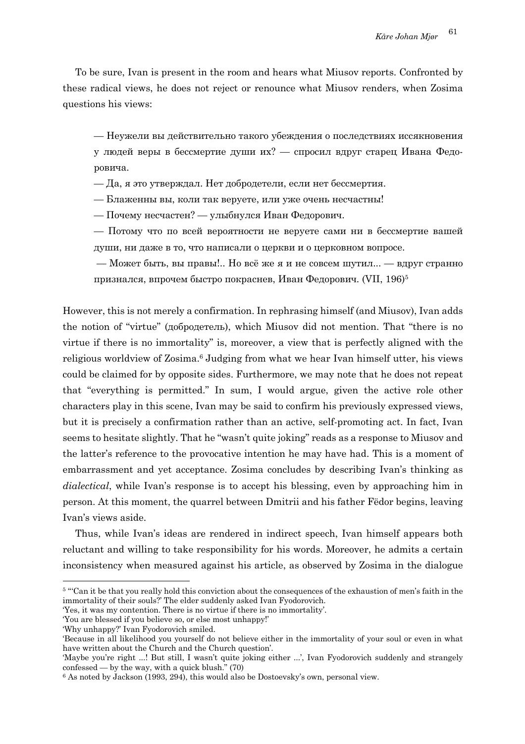To be sure, Ivan is present in the room and hears what Miusov reports. Confronted by these radical views, he does not reject or renounce what Miusov renders, when Zosima questions his views:

— Неужели вы действительно такого убеждения о последствиях иссякновения у людей веры в бессмертие души их? — спросил вдруг старец Ивана Федоровича.

— Да, я это утверждал. Нет добродетели, если нет бессмертия.

— Блаженны вы, коли так веруете, или уже очень несчастны!

— Почему несчастен? — улыбнулся Иван Федорович.

— Потому что по всей вероятности не веруете сами ни в бессмертие вашей души, ни даже в то, что написали о церкви и о церковном вопросе.

— Может быть, вы правы!.. Но всё же я и не совсем шутил... — вдруг странно признался, впрочем быстро покраснев, Иван Федорович. (VII, 196)5

However, this is not merely a confirmation. In rephrasing himself (and Miusov), Ivan adds the notion of "virtue" (добродетель), which Miusov did not mention. That "there is no virtue if there is no immortality" is, moreover, a view that is perfectly aligned with the religious worldview of Zosima. <sup>6</sup> Judging from what we hear Ivan himself utter, his views could be claimed for by opposite sides. Furthermore, we may note that he does not repeat that "everything is permitted." In sum, I would argue, given the active role other characters play in this scene, Ivan may be said to confirm his previously expressed views, but it is precisely a confirmation rather than an active, self-promoting act. In fact, Ivan seems to hesitate slightly. That he "wasn't quite joking" reads as a response to Miusov and the latter's reference to the provocative intention he may have had. This is a moment of embarrassment and yet acceptance. Zosima concludes by describing Ivan's thinking as *dialectical*, while Ivan's response is to accept his blessing, even by approaching him in person. At this moment, the quarrel between Dmitrii and his father Fëdor begins, leaving Ivan's views aside.

Thus, while Ivan's ideas are rendered in indirect speech, Ivan himself appears both reluctant and willing to take responsibility for his words. Moreover, he admits a certain inconsistency when measured against his article, as observed by Zosima in the dialogue

<sup>5</sup> "'Can it be that you really hold this conviction about the consequences of the exhaustion of men's faith in the immortality of their souls?' The elder suddenly asked Ivan Fyodorovich.

<sup>&#</sup>x27;Yes, it was my contention. There is no virtue if there is no immortality'.

<sup>&#</sup>x27;You are blessed if you believe so, or else most unhappy!'

<sup>&#</sup>x27;Why unhappy?' Ivan Fyodorovich smiled.

<sup>&#</sup>x27;Because in all likelihood you yourself do not believe either in the immortality of your soul or even in what have written about the Church and the Church question'.

<sup>&#</sup>x27;Maybe you're right ...! But still, I wasn't quite joking either ...', Ivan Fyodorovich suddenly and strangely confessed — by the way, with a quick blush." $(70)$ 

<sup>6</sup> As noted by Jackson (1993, 294), this would also be Dostoevsky's own, personal view.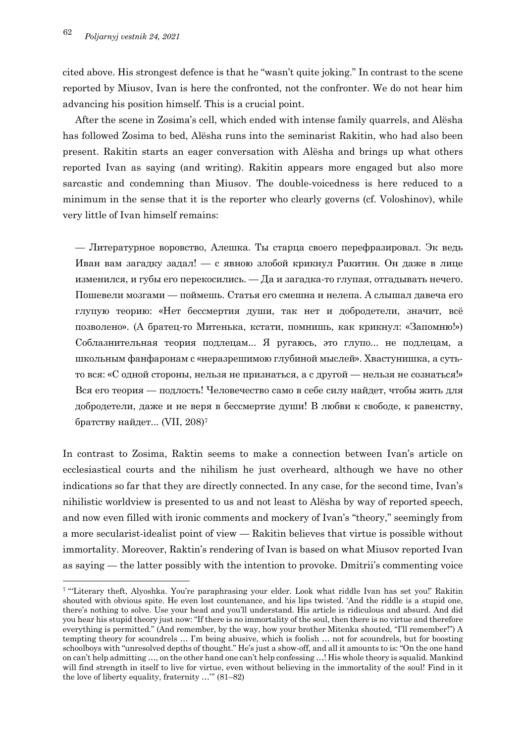cited above. His strongest defence is that he "wasn't quite joking." In contrast to the scene reported by Miusov, Ivan is here the confronted, not the confronter. We do not hear him advancing his position himself. This is a crucial point.

After the scene in Zosima's cell, which ended with intense family quarrels, and Alësha has followed Zosima to bed, Alësha runs into the seminarist Rakitin, who had also been present. Rakitin starts an eager conversation with Alësha and brings up what others reported Ivan as saying (and writing). Rakitin appears more engaged but also more sarcastic and condemning than Miusov. The double-voicedness is here reduced to a minimum in the sense that it is the reporter who clearly governs (cf. Voloshinov), while very little of Ivan himself remains:

— Литературное воровство, Алешка. Ты старца своего перефразировал. Эк ведь Иван вам загадку задал! — с явною злобой крикнул Ракитин. Он даже в лице изменился, и губы его перекосились. — Да и загадка-то глупая, отгадывать нечего. Пошевели мозгами — поймешь. Статья его смешна и нелепа. А слышал давеча его глупую теорию: «Нет бессмертия души, так нет и добродетели, значит, всё позволено». (А братец-то Митенька, кстати, помнишь, как крикнул: «Запомню!») Соблазнительная теория подлецам... Я ругаюсь, это глупо... не подлецам, а школьным фанфаронам с «неразрешимою глубиной мыслей». Хвастунишка, а сутьто вся: «С одной стороны, нельзя не признаться, а с другой — нельзя не сознаться!» Вся его теория — подлость! Человечество само в себе силу найдет, чтобы жить для добродетели, даже и не веря в бессмертие души! В любви к свободе, к равенству, братству найдет... (VII, 208)7

In contrast to Zosima, Raktin seems to make a connection between Ivan's article on ecclesiastical courts and the nihilism he just overheard, although we have no other indications so far that they are directly connected. In any case, for the second time, Ivan's nihilistic worldview is presented to us and not least to Alësha by way of reported speech, and now even filled with ironic comments and mockery of Ivan's "theory," seemingly from a more secularist-idealist point of view — Rakitin believes that virtue is possible without immortality. Moreover, Raktin's rendering of Ivan is based on what Miusov reported Ivan as saying — the latter possibly with the intention to provoke. Dmitrii's commenting voice

<sup>7</sup> "'Literary theft, Alyoshka. You're paraphrasing your elder. Look what riddle Ivan has set you!' Rakitin shouted with obvious spite. He even lost countenance, and his lips twisted. 'And the riddle is a stupid one, there's nothing to solve. Use your head and you'll understand. His article is ridiculous and absurd. And did you hear his stupid theory just now: "If there is no immortality of the soul, then there is no virtue and therefore everything is permitted." (And remember, by the way, how your brother Mitenka shouted, "I'll remember!") A tempting theory for scoundrels … I'm being abusive, which is foolish … not for scoundrels, but for boosting schoolboys with "unresolved depths of thought." He's just a show-off, and all it amounts to is: "On the one hand on can't help admitting …, on the other hand one can't help confessing …! His whole theory is squalid. Mankind will find strength in itself to live for virtue, even without believing in the immortality of the soul! Find in it the love of liberty equality, fraternity …'" (81–82)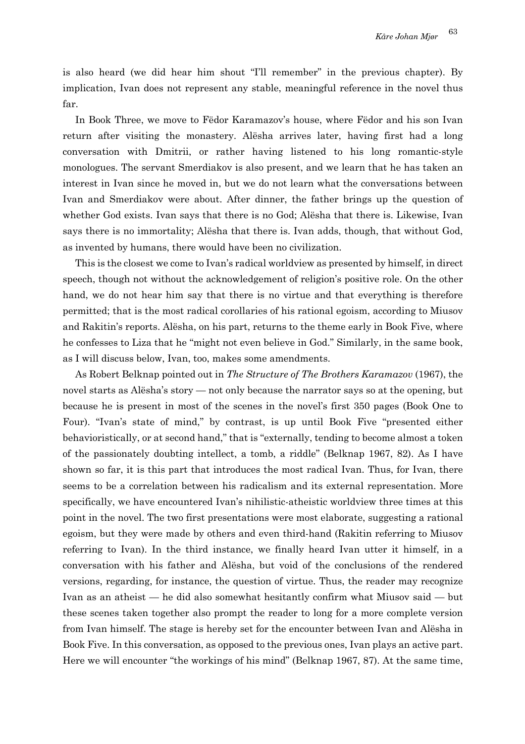is also heard (we did hear him shout "I'll remember" in the previous chapter). By implication, Ivan does not represent any stable, meaningful reference in the novel thus far.

In Book Three, we move to Fëdor Karamazov's house, where Fëdor and his son Ivan return after visiting the monastery. Alësha arrives later, having first had a long conversation with Dmitrii, or rather having listened to his long romantic-style monologues. The servant Smerdiakov is also present, and we learn that he has taken an interest in Ivan since he moved in, but we do not learn what the conversations between Ivan and Smerdiakov were about. After dinner, the father brings up the question of whether God exists. Ivan says that there is no God; Alësha that there is. Likewise, Ivan says there is no immortality; Alësha that there is. Ivan adds, though, that without God, as invented by humans, there would have been no civilization.

This is the closest we come to Ivan's radical worldview as presented by himself, in direct speech, though not without the acknowledgement of religion's positive role. On the other hand, we do not hear him say that there is no virtue and that everything is therefore permitted; that is the most radical corollaries of his rational egoism, according to Miusov and Rakitin's reports. Alësha, on his part, returns to the theme early in Book Five, where he confesses to Liza that he "might not even believe in God." Similarly, in the same book, as I will discuss below, Ivan, too, makes some amendments.

As Robert Belknap pointed out in *The Structure of The Brothers Karamazov* (1967), the novel starts as Alësha's story — not only because the narrator says so at the opening, but because he is present in most of the scenes in the novel's first 350 pages (Book One to Four). "Ivan's state of mind," by contrast, is up until Book Five "presented either behavioristically, or at second hand," that is "externally, tending to become almost a token of the passionately doubting intellect, a tomb, a riddle" (Belknap 1967, 82). As I have shown so far, it is this part that introduces the most radical Ivan. Thus, for Ivan, there seems to be a correlation between his radicalism and its external representation. More specifically, we have encountered Ivan's nihilistic-atheistic worldview three times at this point in the novel. The two first presentations were most elaborate, suggesting a rational egoism, but they were made by others and even third-hand (Rakitin referring to Miusov referring to Ivan). In the third instance, we finally heard Ivan utter it himself, in a conversation with his father and Alësha, but void of the conclusions of the rendered versions, regarding, for instance, the question of virtue. Thus, the reader may recognize Ivan as an atheist — he did also somewhat hesitantly confirm what Miusov said — but these scenes taken together also prompt the reader to long for a more complete version from Ivan himself. The stage is hereby set for the encounter between Ivan and Alësha in Book Five. In this conversation, as opposed to the previous ones, Ivan plays an active part. Here we will encounter "the workings of his mind" (Belknap 1967, 87). At the same time,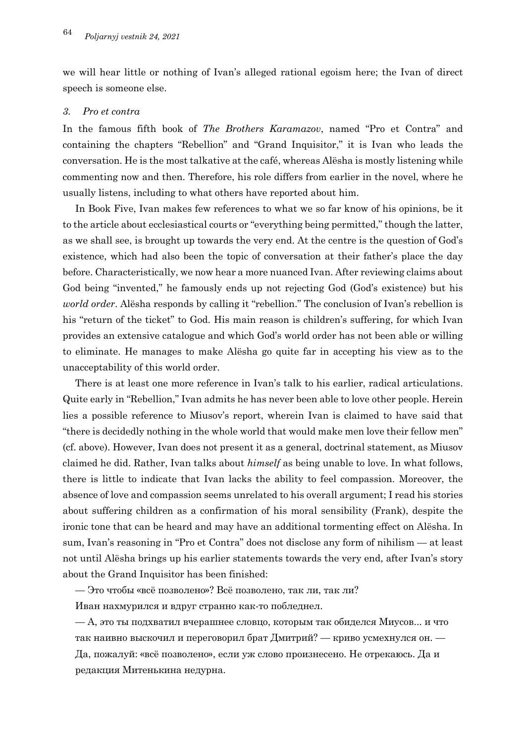we will hear little or nothing of Ivan's alleged rational egoism here; the Ivan of direct speech is someone else.

#### *3. Pro et contra*

In the famous fifth book of *The Brothers Karamazov*, named "Pro et Contra" and containing the chapters "Rebellion" and "Grand Inquisitor," it is Ivan who leads the conversation. He is the most talkative at the café, whereas Alësha is mostly listening while commenting now and then. Therefore, his role differs from earlier in the novel, where he usually listens, including to what others have reported about him.

In Book Five, Ivan makes few references to what we so far know of his opinions, be it to the article about ecclesiastical courts or "everything being permitted," though the latter, as we shall see, is brought up towards the very end. At the centre is the question of God's existence, which had also been the topic of conversation at their father's place the day before. Characteristically, we now hear a more nuanced Ivan. After reviewing claims about God being "invented," he famously ends up not rejecting God (God's existence) but his *world order*. Alësha responds by calling it "rebellion." The conclusion of Ivan's rebellion is his "return of the ticket" to God. His main reason is children's suffering, for which Ivan provides an extensive catalogue and which God's world order has not been able or willing to eliminate. He manages to make Alësha go quite far in accepting his view as to the unacceptability of this world order.

There is at least one more reference in Ivan's talk to his earlier, radical articulations. Quite early in "Rebellion," Ivan admits he has never been able to love other people. Herein lies a possible reference to Miusov's report, wherein Ivan is claimed to have said that "there is decidedly nothing in the whole world that would make men love their fellow men" (cf. above). However, Ivan does not present it as a general, doctrinal statement, as Miusov claimed he did. Rather, Ivan talks about *himself* as being unable to love. In what follows, there is little to indicate that Ivan lacks the ability to feel compassion. Moreover, the absence of love and compassion seems unrelated to his overall argument; I read his stories about suffering children as a confirmation of his moral sensibility (Frank), despite the ironic tone that can be heard and may have an additional tormenting effect on Alësha. In sum, Ivan's reasoning in "Pro et Contra" does not disclose any form of nihilism — at least not until Alësha brings up his earlier statements towards the very end, after Ivan's story about the Grand Inquisitor has been finished:

— Это чтобы «всё позволено»? Всё позволено, так ли, так ли?

Иван нахмурился и вдруг странно как-то побледнел.

— А, это ты подхватил вчерашнее словцо, которым так обиделся Миусов... и что так наивно выскочил и переговорил брат Дмитрий? — криво усмехнулся он. — Да, пожалуй: «всё позволено», если уж слово произнесено. Не отрекаюсь. Да и редакция Митенькина недурна.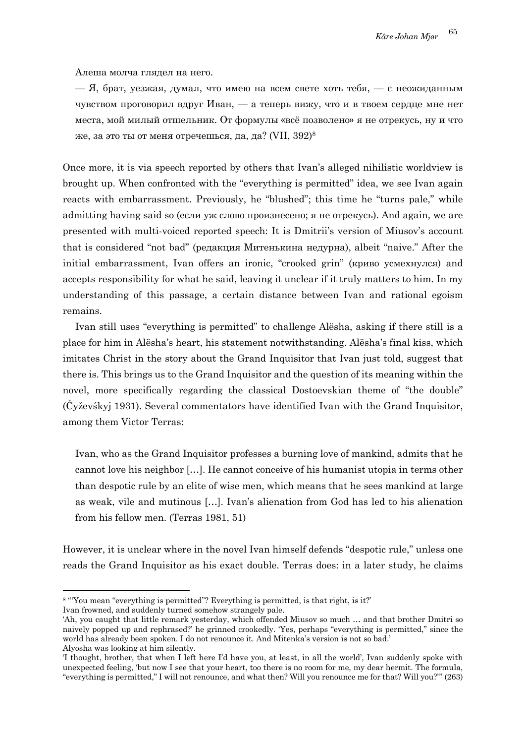Алеша молча глядел на него.

— Я, брат, уезжая, думал, что имею на всем свете хоть тебя, — с неожиданным чувством проговорил вдруг Иван, — а теперь вижу, что и в твоем сердце мне нет места, мой милый отшельник. От формулы «всё позволено» я не отрекусь, ну и что же, за это ты от меня отречешься, да, да? (VII,  $392$ )<sup>8</sup>

Once more, it is via speech reported by others that Ivan's alleged nihilistic worldview is brought up. When confronted with the "everything is permitted" idea, we see Ivan again reacts with embarrassment. Previously, he "blushed"; this time he "turns pale," while admitting having said so (если уж слово произнесено; я не отрекусь). And again, we are presented with multi-voiced reported speech: It is Dmitrii's version of Miusov's account that is considered "not bad" (редакция Митенькина недурна), albeit "naive." After the initial embarrassment, Ivan offers an ironic, "crooked grin" (криво усмехнулся) and accepts responsibility for what he said, leaving it unclear if it truly matters to him. In my understanding of this passage, a certain distance between Ivan and rational egoism remains.

Ivan still uses "everything is permitted" to challenge Alësha, asking if there still is a place for him in Alësha's heart, his statement notwithstanding. Alësha's final kiss, which imitates Christ in the story about the Grand Inquisitor that Ivan just told, suggest that there is. This brings us to the Grand Inquisitor and the question of its meaning within the novel, more specifically regarding the classical Dostoevskian theme of "the double" (Čyževśkyj 1931). Several commentators have identified Ivan with the Grand Inquisitor, among them Victor Terras:

Ivan, who as the Grand Inquisitor professes a burning love of mankind, admits that he cannot love his neighbor […]. He cannot conceive of his humanist utopia in terms other than despotic rule by an elite of wise men, which means that he sees mankind at large as weak, vile and mutinous […]. Ivan's alienation from God has led to his alienation from his fellow men. (Terras 1981, 51)

However, it is unclear where in the novel Ivan himself defends "despotic rule," unless one reads the Grand Inquisitor as his exact double. Terras does: in a later study, he claims

<sup>&</sup>lt;sup>8</sup> "You mean "everything is permitted"? Everything is permitted, is that right, is it?" Ivan frowned, and suddenly turned somehow strangely pale.

<sup>&#</sup>x27;Ah, you caught that little remark yesterday, which offended Miusov so much … and that brother Dmitri so naively popped up and rephrased?' he grinned crookedly. 'Yes, perhaps "everything is permitted," since the world has already been spoken. I do not renounce it. And Mitenka's version is not so bad.' Alyosha was looking at him silently.

<sup>&#</sup>x27;I thought, brother, that when I left here I'd have you, at least, in all the world', Ivan suddenly spoke with unexpected feeling, 'but now I see that your heart, too there is no room for me, my dear hermit. The formula, "everything is permitted," I will not renounce, and what then? Will you renounce me for that? Will you?'" (263)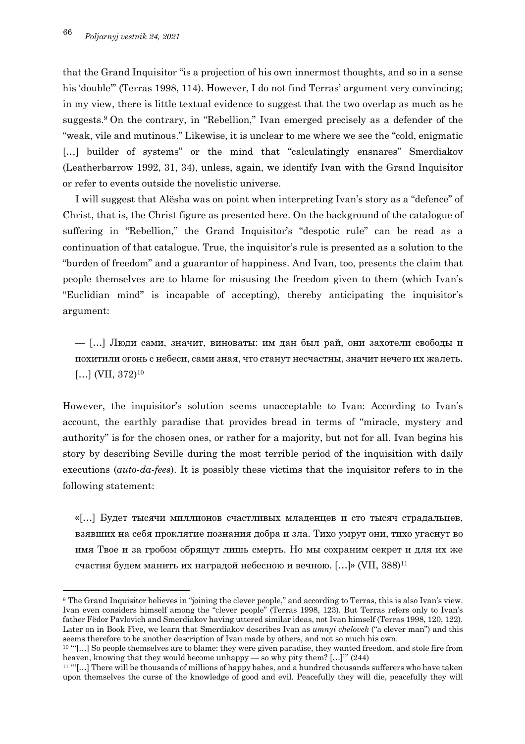that the Grand Inquisitor "is a projection of his own innermost thoughts, and so in a sense his 'double'" (Terras 1998, 114). However, I do not find Terras' argument very convincing; in my view, there is little textual evidence to suggest that the two overlap as much as he suggests. <sup>9</sup> On the contrary, in "Rebellion," Ivan emerged precisely as a defender of the "weak, vile and mutinous." Likewise, it is unclear to me where we see the "cold, enigmatic [...] builder of systems" or the mind that "calculatingly ensnares" Smerdiakov (Leatherbarrow 1992, 31, 34), unless, again, we identify Ivan with the Grand Inquisitor or refer to events outside the novelistic universe.

I will suggest that Alësha was on point when interpreting Ivan's story as a "defence" of Christ, that is, the Christ figure as presented here. On the background of the catalogue of suffering in "Rebellion," the Grand Inquisitor's "despotic rule" can be read as a continuation of that catalogue. True, the inquisitor's rule is presented as a solution to the "burden of freedom" and a guarantor of happiness. And Ivan, too, presents the claim that people themselves are to blame for misusing the freedom given to them (which Ivan's "Euclidian mind" is incapable of accepting), thereby anticipating the inquisitor's argument:

— […] Люди сами, значит, виноваты: им дан был рай, они захотели свободы и похитили огонь с небеси, сами зная, что станут несчастны, значит нечего их жалеть. [...] (VII,  $372$ )<sup>10</sup>

However, the inquisitor's solution seems unacceptable to Ivan: According to Ivan's account, the earthly paradise that provides bread in terms of "miracle, mystery and authority" is for the chosen ones, or rather for a majority, but not for all. Ivan begins his story by describing Seville during the most terrible period of the inquisition with daily executions (*auto-da-fees*). It is possibly these victims that the inquisitor refers to in the following statement:

«[…] Будет тысячи миллионов счастливых младенцев и сто тысяч страдальцев, взявших на себя проклятие познания добра и зла. Тихо умрут они, тихо угаснут во имя Твое и за гробом обрящут лишь смерть. Но мы сохраним секрет и для их же счастия будем манить их наградой небесною и вечною. […]» (VII, 388)11

<sup>9</sup> The Grand Inquisitor believes in "joining the clever people," and according to Terras, this is also Ivan's view. Ivan even considers himself among the "clever people" (Terras 1998, 123). But Terras refers only to Ivan's father Fëdor Pavlovich and Smerdiakov having uttered similar ideas, not Ivan himself (Terras 1998, 120, 122). Later on in Book Five, we learn that Smerdiakov describes Ivan as *umnyi chelovek* ("a clever man") and this seems therefore to be another description of Ivan made by others, and not so much his own.

<sup>10</sup> "'[…] So people themselves are to blame: they were given paradise, they wanted freedom, and stole fire from heaven, knowing that they would become unhappy — so why pity them? […]'" (244)

<sup>11</sup> "'[…] There will be thousands of millions of happy babes, and a hundred thousands sufferers who have taken upon themselves the curse of the knowledge of good and evil. Peacefully they will die, peacefully they will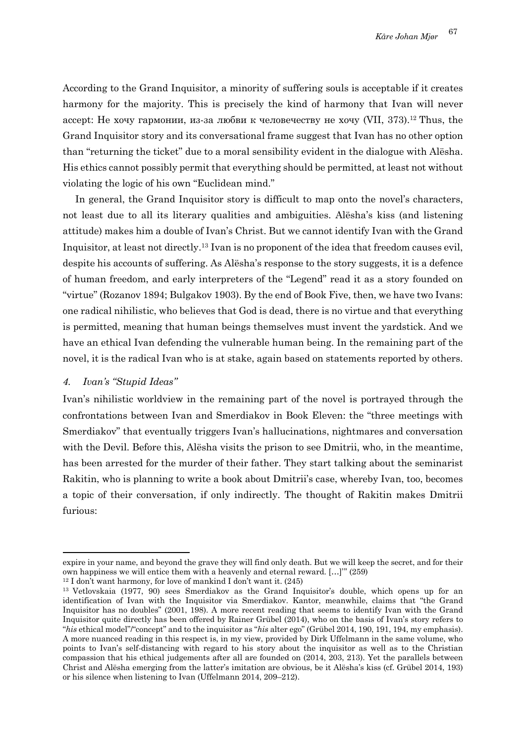According to the Grand Inquisitor, a minority of suffering souls is acceptable if it creates harmony for the majority. This is precisely the kind of harmony that Ivan will never accept: Не хочу гармонии, из-за любви к человечеству не хочу (VII, 373). <sup>12</sup> Thus, the Grand Inquisitor story and its conversational frame suggest that Ivan has no other option than "returning the ticket" due to a moral sensibility evident in the dialogue with Alësha. His ethics cannot possibly permit that everything should be permitted, at least not without violating the logic of his own "Euclidean mind."

In general, the Grand Inquisitor story is difficult to map onto the novel's characters, not least due to all its literary qualities and ambiguities. Alësha's kiss (and listening attitude) makes him a double of Ivan's Christ. But we cannot identify Ivan with the Grand Inquisitor, at least not directly.13 Ivan is no proponent of the idea that freedom causes evil, despite his accounts of suffering. As Alësha's response to the story suggests, it is a defence of human freedom, and early interpreters of the "Legend" read it as a story founded on "virtue" (Rozanov 1894; Bulgakov 1903). By the end of Book Five, then, we have two Ivans: one radical nihilistic, who believes that God is dead, there is no virtue and that everything is permitted, meaning that human beings themselves must invent the yardstick. And we have an ethical Ivan defending the vulnerable human being. In the remaining part of the novel, it is the radical Ivan who is at stake, again based on statements reported by others.

# *4. Ivan's "Stupid Ideas"*

Ivan's nihilistic worldview in the remaining part of the novel is portrayed through the confrontations between Ivan and Smerdiakov in Book Eleven: the "three meetings with Smerdiakov" that eventually triggers Ivan's hallucinations, nightmares and conversation with the Devil. Before this, Alësha visits the prison to see Dmitrii, who, in the meantime, has been arrested for the murder of their father. They start talking about the seminarist Rakitin, who is planning to write a book about Dmitrii's case, whereby Ivan, too, becomes a topic of their conversation, if only indirectly. The thought of Rakitin makes Dmitrii furious:

expire in your name, and beyond the grave they will find only death. But we will keep the secret, and for their own happiness we will entice them with a heavenly and eternal reward. […]'" (259)

<sup>&</sup>lt;sup>12</sup> I don't want harmony, for love of mankind I don't want it.  $(245)$ 

<sup>13</sup> Vetlovskaia (1977, 90) sees Smerdiakov as the Grand Inquisitor's double, which opens up for an identification of Ivan with the Inquisitor via Smerdiakov. Kantor, meanwhile, claims that "the Grand Inquisitor has no doubles" (2001, 198). A more recent reading that seems to identify Ivan with the Grand Inquisitor quite directly has been offered by Rainer Grübel (2014), who on the basis of Ivan's story refers to "*his* ethical model"/"concept" and to the inquisitor as "*his* alter ego" (Grübel 2014, 190, 191, 194, my emphasis). A more nuanced reading in this respect is, in my view, provided by Dirk Uffelmann in the same volume, who points to Ivan's self-distancing with regard to his story about the inquisitor as well as to the Christian compassion that his ethical judgements after all are founded on (2014, 203, 213). Yet the parallels between Christ and Alësha emerging from the latter's imitation are obvious, be it Alësha's kiss (cf. Grübel 2014, 193) or his silence when listening to Ivan (Uffelmann 2014, 209–212).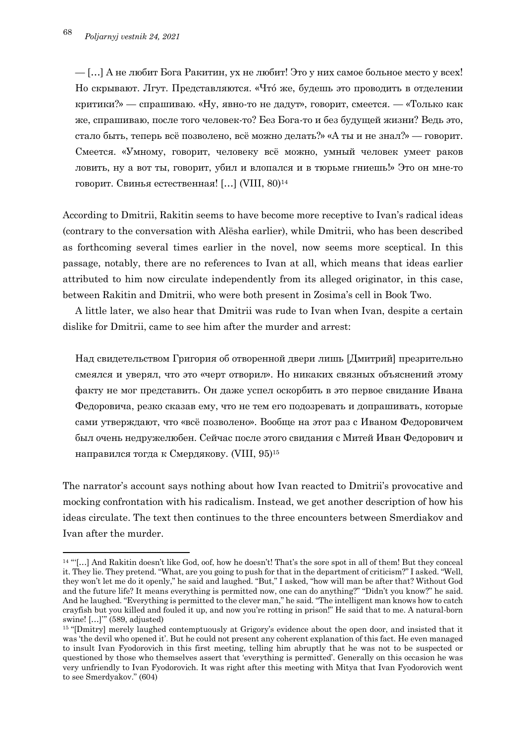— […] А не любит Бога Ракитин, ух не любит! Это у них самое больное место у всех! Но скрывают. Лгут. Представляются. «Чтó же, будешь это проводить в отделении критики?» — спрашиваю. «Ну, явно-то не дадут», говорит, смеется. — «Только как же, спрашиваю, после того человек-то? Без Бога-то и без будущей жизни? Ведь это, стало быть, теперь всё позволено, всё можно делать?» «А ты и не знал?» — говорит. Смеется. «Умному, говорит, человеку всё можно, умный человек умеет раков ловить, ну а вот ты, говорит, убил и влопался и в тюрьме гниешь!» Это он мне-то говорит. Свинья естественная! […] (VIII, 80)14

According to Dmitrii, Rakitin seems to have become more receptive to Ivan's radical ideas (contrary to the conversation with Alësha earlier), while Dmitrii, who has been described as forthcoming several times earlier in the novel, now seems more sceptical. In this passage, notably, there are no references to Ivan at all, which means that ideas earlier attributed to him now circulate independently from its alleged originator, in this case, between Rakitin and Dmitrii, who were both present in Zosima's cell in Book Two.

A little later, we also hear that Dmitrii was rude to Ivan when Ivan, despite a certain dislike for Dmitrii, came to see him after the murder and arrest:

Над свидетельством Григория об отворенной двери лишь [Дмитрий] презрительно смеялся и уверял, что это «черт отворил». Но никаких связных объяснений этому факту не мог представить. Он даже успел оскорбить в это первое свидание Ивана Федоровича, резко сказав ему, что не тем его подозревать и допрашивать, которые сами утверждают, что «всё позволено». Вообще на этот раз с Иваном Федоровичем был очень недружелюбен. Сейчас после этого свидания с Митей Иван Федорович и направился тогда к Смердякову. (VIII, 95)15

The narrator's account says nothing about how Ivan reacted to Dmitrii's provocative and mocking confrontation with his radicalism. Instead, we get another description of how his ideas circulate. The text then continues to the three encounters between Smerdiakov and Ivan after the murder.

<sup>14</sup> "'[…] And Rakitin doesn't like God, oof, how he doesn't! That's the sore spot in all of them! But they conceal it. They lie. They pretend. "What, are you going to push for that in the department of criticism?" I asked. "Well, they won't let me do it openly," he said and laughed. "But," I asked, "how will man be after that? Without God and the future life? It means everything is permitted now, one can do anything?" "Didn't you know?" he said. And he laughed. "Everything is permitted to the clever man," he said. "The intelligent man knows how to catch crayfish but you killed and fouled it up, and now you're rotting in prison!" He said that to me. A natural-born swine! […]'" (589, adjusted)

<sup>15</sup> "[Dmitry] merely laughed contemptuously at Grigory's evidence about the open door, and insisted that it was 'the devil who opened it'. But he could not present any coherent explanation of this fact. He even managed to insult Ivan Fyodorovich in this first meeting, telling him abruptly that he was not to be suspected or questioned by those who themselves assert that 'everything is permitted'. Generally on this occasion he was very unfriendly to Ivan Fyodorovich. It was right after this meeting with Mitya that Ivan Fyodorovich went to see Smerdyakov." (604)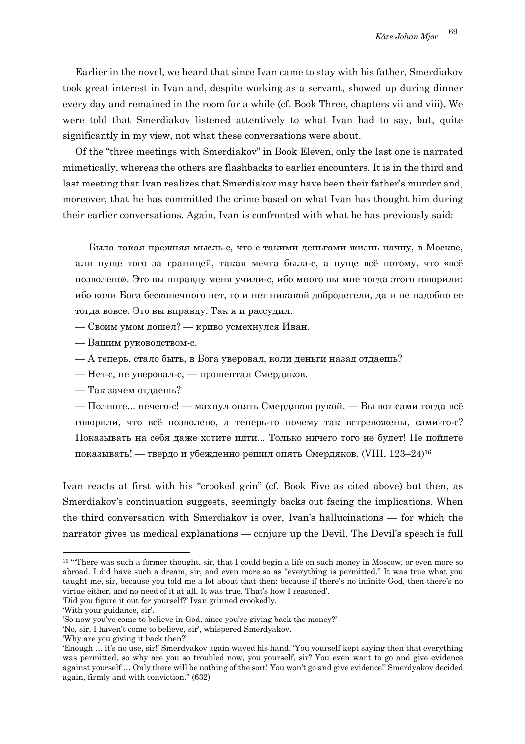Earlier in the novel, we heard that since Ivan came to stay with his father, Smerdiakov took great interest in Ivan and, despite working as a servant, showed up during dinner every day and remained in the room for a while (cf. Book Three, chapters vii and viii). We were told that Smerdiakov listened attentively to what Ivan had to say, but, quite significantly in my view, not what these conversations were about.

Of the "three meetings with Smerdiakov" in Book Eleven, only the last one is narrated mimetically, whereas the others are flashbacks to earlier encounters. It is in the third and last meeting that Ivan realizes that Smerdiakov may have been their father's murder and, moreover, that he has committed the crime based on what Ivan has thought him during their earlier conversations. Again, Ivan is confronted with what he has previously said:

— Была такая прежняя мысль-с, что с такими деньгами жизнь начну, в Москве, али пуще того за границей, такая мечта была-с, а пуще всё потому, что «всё позволено». Это вы вправду меня учили-с, ибо много вы мне тогда этого говорили: ибо коли Бога бесконечного нет, то и нет никакой добродетели, да и не надобно ее тогда вовсе. Это вы вправду. Так я и рассудил.

— Своим умом дошел? — криво усмехнулся Иван.

— Вашим руководством-с.

— А теперь, стало быть, в Бога уверовал, коли деньги назад отдаешь?

— Нет-с, не уверовал-с, — прошептал Смердяков.

— Так зачем отдаешь?

— Полноте... нечего-с! — махнул опять Смердяков рукой. — Вы вот сами тогда всё говорили, что всё позволено, а теперь-то почему так встревожены, сами-то-с? Показывать на себя даже хотите идти... Только ничего того не будет! Не пойдете показывать! — твердо и убежденно решил опять Смердяков. (VIII, 123–24)16

Ivan reacts at first with his "crooked grin" (cf. Book Five as cited above) but then, as Smerdiakov's continuation suggests, seemingly backs out facing the implications. When the third conversation with Smerdiakov is over, Ivan's hallucinations — for which the narrator gives us medical explanations — conjure up the Devil. The Devil's speech is full

<sup>&</sup>lt;sup>16</sup> "There was such a former thought, sir, that I could begin a life on such money in Moscow, or even more so abroad. I did have such a dream, sir, and even more so as "everything is permitted." It was true what you taught me, sir, because you told me a lot about that then: because if there's no infinite God, then there's no virtue either, and no need of it at all. It was true. That's how I reasoned'.

<sup>&#</sup>x27;Did you figure it out for yourself?' Ivan grinned crookedly.

<sup>&#</sup>x27;With your guidance, sir'.

<sup>&#</sup>x27;So now you've come to believe in God, since you're giving back the money?'

<sup>&#</sup>x27;No, sir, I haven't come to believe, sir', whispered Smerdyakov.

<sup>&#</sup>x27;Why are you giving it back then?'

<sup>&#</sup>x27;Enough … it's no use, sir!' Smerdyakov again waved his hand. 'You yourself kept saying then that everything was permitted, so why are you so troubled now, you yourself, sir? You even want to go and give evidence against yourself … Only there will be nothing of the sort! You won't go and give evidence!' Smerdyakov decided again, firmly and with conviction." (632)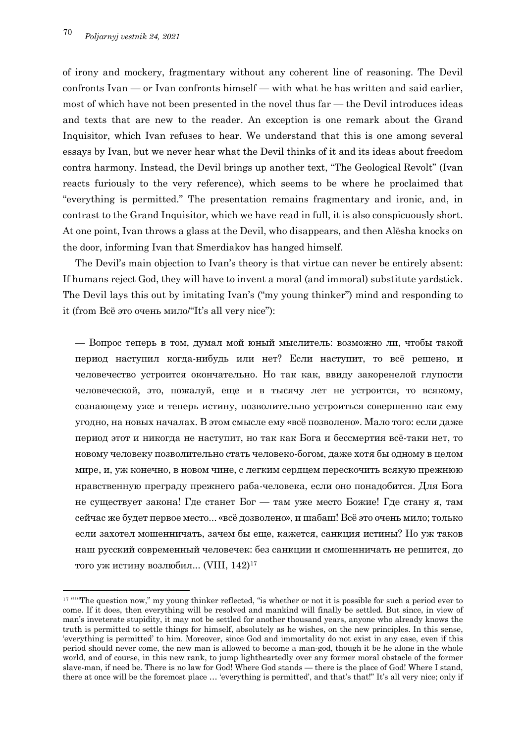of irony and mockery, fragmentary without any coherent line of reasoning. The Devil confronts Ivan — or Ivan confronts himself — with what he has written and said earlier, most of which have not been presented in the novel thus far — the Devil introduces ideas and texts that are new to the reader. An exception is one remark about the Grand Inquisitor, which Ivan refuses to hear. We understand that this is one among several essays by Ivan, but we never hear what the Devil thinks of it and its ideas about freedom contra harmony. Instead, the Devil brings up another text, "The Geological Revolt" (Ivan reacts furiously to the very reference), which seems to be where he proclaimed that "everything is permitted." The presentation remains fragmentary and ironic, and, in contrast to the Grand Inquisitor, which we have read in full, it is also conspicuously short. At one point, Ivan throws a glass at the Devil, who disappears, and then Alësha knocks on the door, informing Ivan that Smerdiakov has hanged himself.

The Devil's main objection to Ivan's theory is that virtue can never be entirely absent: If humans reject God, they will have to invent a moral (and immoral) substitute yardstick. The Devil lays this out by imitating Ivan's ("my young thinker") mind and responding to it (from Всё это очень мило/"It's all very nice"):

— Вопрос теперь в том, думал мой юный мыслитель: возможно ли, чтобы такой период наступил когда-нибудь или нет? Если наступит, то всё решено, и человечество устроится окончательно. Но так как, ввиду закоренелой глупости человеческой, это, пожалуй, еще и в тысячу лет не устроится, то всякому, сознающему уже и теперь истину, позволительно устроиться совершенно как ему угодно, на новых началах. В этом смысле ему «всё позволено». Мало того: если даже период этот и никогда не наступит, но так как Бога и бессмертия всё-таки нет, то новому человеку позволительно стать человеко-богом, даже хотя бы одному в целом мире, и, уж конечно, в новом чине, с легким сердцем перескочить всякую прежнюю нравственную преграду прежнего раба-человека, если оно понадобится. Для Бога не существует закона! Где станет Бог — там уже место Божие! Где стану я, там сейчас же будет первое место... «всё дозволено», и шабаш! Всё это очень мило; только если захотел мошенничать, зачем бы еще, кажется, санкция истины? Но уж таков наш русский современный человечек: без санкции и смошенничать не решится, до того уж истину возлюбил... (VIII, 142)17

<sup>&</sup>lt;sup>17</sup> ""The question now," my young thinker reflected, "is whether or not it is possible for such a period ever to come. If it does, then everything will be resolved and mankind will finally be settled. But since, in view of man's inveterate stupidity, it may not be settled for another thousand years, anyone who already knows the truth is permitted to settle things for himself, absolutely as he wishes, on the new principles. In this sense, 'everything is permitted' to him. Moreover, since God and immortality do not exist in any case, even if this period should never come, the new man is allowed to become a man-god, though it be he alone in the whole world, and of course, in this new rank, to jump lightheartedly over any former moral obstacle of the former slave-man, if need be. There is no law for God! Where God stands — there is the place of God! Where I stand, there at once will be the foremost place ... 'everything is permitted', and that's that!" It's all very nice; only if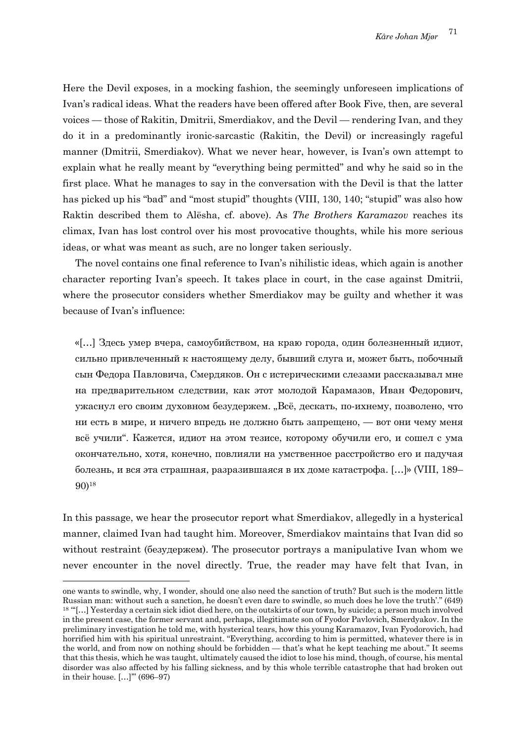Here the Devil exposes, in a mocking fashion, the seemingly unforeseen implications of Ivan's radical ideas. What the readers have been offered after Book Five, then, are several voices — those of Rakitin, Dmitrii, Smerdiakov, and the Devil — rendering Ivan, and they do it in a predominantly ironic-sarcastic (Rakitin, the Devil) or increasingly rageful manner (Dmitrii, Smerdiakov). What we never hear, however, is Ivan's own attempt to explain what he really meant by "everything being permitted" and why he said so in the first place. What he manages to say in the conversation with the Devil is that the latter has picked up his "bad" and "most stupid" thoughts (VIII, 130, 140; "stupid" was also how Raktin described them to Alësha, cf. above). As *The Brothers Karamazov* reaches its climax, Ivan has lost control over his most provocative thoughts, while his more serious ideas, or what was meant as such, are no longer taken seriously.

The novel contains one final reference to Ivan's nihilistic ideas, which again is another character reporting Ivan's speech. It takes place in court, in the case against Dmitrii, where the prosecutor considers whether Smerdiakov may be guilty and whether it was because of Ivan's influence:

«[…] Здесь умер вчера, самоубийством, на краю города, один болезненный идиот, сильно привлеченный к настоящему делу, бывший слуга и, может быть, побочный сын Федора Павловича, Смердяков. Он с истерическими слезами рассказывал мне на предварительном следствии, как этот молодой Карамазов, Иван Федорович, ужаснул его своим духовном безудержем. "Всё, дескать, по-ихнему, позволено, что ни есть в мире, и ничего впредь не должно быть запрещено, — вот они чему меня всё учили". Кажется, идиот на этом тезисе, которому обучили его, и сошел с ума окончательно, хотя, конечно, повлияли на умственное расстройство его и падучая болезнь, и вся эта страшная, разразившаяся в их доме катастрофа. […]» (VIII, 189– 90)18

In this passage, we hear the prosecutor report what Smerdiakov, allegedly in a hysterical manner, claimed Ivan had taught him. Moreover, Smerdiakov maintains that Ivan did so without restraint (безудержем). The prosecutor portrays a manipulative Ivan whom we never encounter in the novel directly. True, the reader may have felt that Ivan, in

one wants to swindle, why, I wonder, should one also need the sanction of truth? But such is the modern little Russian man: without such a sanction, he doesn't even dare to swindle, so much does he love the truth'." (649) <sup>18</sup> "'[…] Yesterday a certain sick idiot died here, on the outskirts of our town, by suicide; a person much involved in the present case, the former servant and, perhaps, illegitimate son of Fyodor Pavlovich, Smerdyakov. In the preliminary investigation he told me, with hysterical tears, how this young Karamazov, Ivan Fyodorovich, had horrified him with his spiritual unrestraint. "Everything, according to him is permitted, whatever there is in the world, and from now on nothing should be forbidden — that's what he kept teaching me about." It seems that this thesis, which he was taught, ultimately caused the idiot to lose his mind, though, of course, his mental disorder was also affected by his falling sickness, and by this whole terrible catastrophe that had broken out in their house. […]'" (696–97)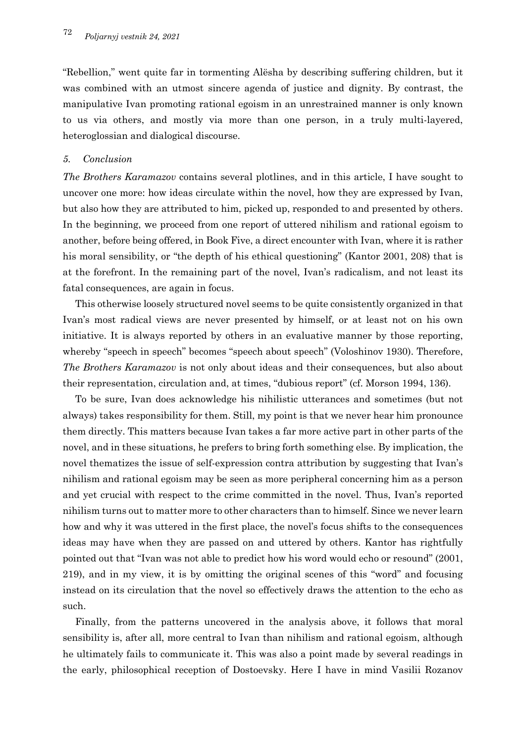"Rebellion," went quite far in tormenting Alësha by describing suffering children, but it was combined with an utmost sincere agenda of justice and dignity. By contrast, the manipulative Ivan promoting rational egoism in an unrestrained manner is only known to us via others, and mostly via more than one person, in a truly multi-layered, heteroglossian and dialogical discourse.

## *5. Conclusion*

*The Brothers Karamazov* contains several plotlines, and in this article, I have sought to uncover one more: how ideas circulate within the novel, how they are expressed by Ivan, but also how they are attributed to him, picked up, responded to and presented by others. In the beginning, we proceed from one report of uttered nihilism and rational egoism to another, before being offered, in Book Five, a direct encounter with Ivan, where it is rather his moral sensibility, or "the depth of his ethical questioning" (Kantor 2001, 208) that is at the forefront. In the remaining part of the novel, Ivan's radicalism, and not least its fatal consequences, are again in focus.

This otherwise loosely structured novel seems to be quite consistently organized in that Ivan's most radical views are never presented by himself, or at least not on his own initiative. It is always reported by others in an evaluative manner by those reporting, whereby "speech in speech" becomes "speech about speech" (Voloshinov 1930). Therefore, *The Brothers Karamazov* is not only about ideas and their consequences, but also about their representation, circulation and, at times, "dubious report" (cf. Morson 1994, 136).

To be sure, Ivan does acknowledge his nihilistic utterances and sometimes (but not always) takes responsibility for them. Still, my point is that we never hear him pronounce them directly. This matters because Ivan takes a far more active part in other parts of the novel, and in these situations, he prefers to bring forth something else. By implication, the novel thematizes the issue of self-expression contra attribution by suggesting that Ivan's nihilism and rational egoism may be seen as more peripheral concerning him as a person and yet crucial with respect to the crime committed in the novel. Thus, Ivan's reported nihilism turns out to matter more to other characters than to himself. Since we never learn how and why it was uttered in the first place, the novel's focus shifts to the consequences ideas may have when they are passed on and uttered by others. Kantor has rightfully pointed out that "Ivan was not able to predict how his word would echo or resound" (2001, 219), and in my view, it is by omitting the original scenes of this "word" and focusing instead on its circulation that the novel so effectively draws the attention to the echo as such.

Finally, from the patterns uncovered in the analysis above, it follows that moral sensibility is, after all, more central to Ivan than nihilism and rational egoism, although he ultimately fails to communicate it. This was also a point made by several readings in the early, philosophical reception of Dostoevsky. Here I have in mind Vasilii Rozanov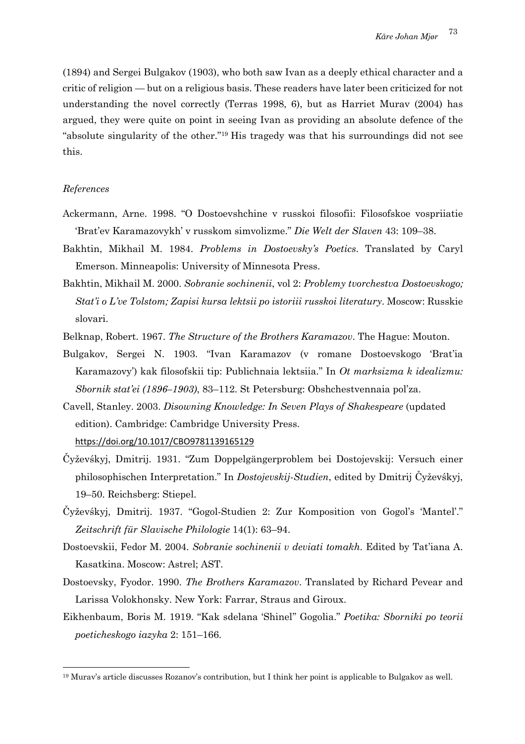(1894) and Sergei Bulgakov (1903), who both saw Ivan as a deeply ethical character and a critic of religion — but on a religious basis. These readers have later been criticized for not understanding the novel correctly (Terras 1998, 6), but as Harriet Murav (2004) has argued, they were quite on point in seeing Ivan as providing an absolute defence of the "absolute singularity of the other."19 His tragedy was that his surroundings did not see this.

#### *References*

- Ackermann, Arne. 1998. "O Dostoevshchine v russkoi filosofii: Filosofskoe vospriiatie 'Brat'ev Karamazovykh' v russkom simvolizme." *Die Welt der Slaven* 43: 109–38.
- Bakhtin, Mikhail M. 1984. *Problems in Dostoevsky's Poetics*. Translated by Caryl Emerson. Minneapolis: University of Minnesota Press.
- Bakhtin, Mikhail M. 2000. *Sobranie sochinenii*, vol 2: *Problemy tvorchestva Dostoevskogo; Stat'i o L've Tolstom; Zapisi kursa lektsii po istoriii russkoi literatury*. Moscow: Russkie slovari.
- Belknap, Robert. 1967. *The Structure of the Brothers Karamazov*. The Hague: Mouton.
- Bulgakov, Sergei N. 1903. "Ivan Karamazov (v romane Dostoevskogo 'Brat'ia Karamazovy') kak filosofskii tip: Publichnaia lektsiia." In *Ot marksizma k idealizmu: Sbornik stat'ei (1896–1903)*, 83–112. St Petersburg: Obshchestvennaia pol'za.
- Cavell, Stanley. 2003. *Disowning Knowledge: In Seven Plays of Shakespeare* (updated edition). Cambridge: Cambridge University Press. https://doi.org/10.1017/CBO9781139165129
- Čyževśkyj, Dmitrij. 1931. "Zum Doppelgängerproblem bei Dostojevskij: Versuch einer philosophischen Interpretation." In *Dostojevskij-Studien*, edited by Dmitrij Čyževśkyj, 19–50. Reichsberg: Stiepel.
- Čyževśkyj, Dmitrij. 1937. "Gogol-Studien 2: Zur Komposition von Gogol's 'Mantel'." *Zeitschrift für Slavische Philologie* 14(1): 63–94.
- Dostoevskii, Fedor M. 2004. *Sobranie sochinenii v deviati tomakh*. Edited by Tat'iana A. Kasatkina. Moscow: Astrel; AST.
- Dostoevsky, Fyodor. 1990. *The Brothers Karamazov*. Translated by Richard Pevear and Larissa Volokhonsky. New York: Farrar, Straus and Giroux.
- Eikhenbaum, Boris M. 1919. "Kak sdelana 'Shinel'' Gogolia." *Poetika: Sborniki po teorii poeticheskogo iazyka* 2: 151–166.

<sup>19</sup> Murav's article discusses Rozanov's contribution, but I think her point is applicable to Bulgakov as well.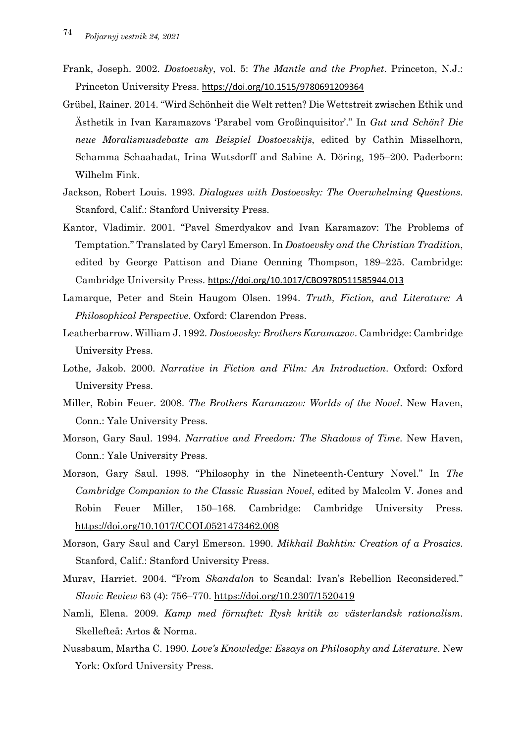- Frank, Joseph. 2002. *Dostoevsky*, vol. 5: *The Mantle and the Prophet*. Princeton, N.J.: Princeton University Press. https://doi.org/10.1515/9780691209364
- Grübel, Rainer. 2014. "Wird Schönheit die Welt retten? Die Wettstreit zwischen Ethik und Ästhetik in Ivan Karamazovs 'Parabel vom Großinquisitor'." In *Gut und Schön? Die neue Moralismusdebatte am Beispiel Dostoevskijs*, edited by Cathin Misselhorn, Schamma Schaahadat, Irina Wutsdorff and Sabine A. Döring, 195–200. Paderborn: Wilhelm Fink.
- Jackson, Robert Louis. 1993. *Dialogues with Dostoevsky: The Overwhelming Questions*. Stanford, Calif.: Stanford University Press.
- Kantor, Vladimir. 2001. "Pavel Smerdyakov and Ivan Karamazov: The Problems of Temptation." Translated by Caryl Emerson. In *Dostoevsky and the Christian Tradition*, edited by George Pattison and Diane Oenning Thompson, 189–225. Cambridge: Cambridge University Press. https://doi.org/10.1017/CBO9780511585944.013
- Lamarque, Peter and Stein Haugom Olsen. 1994. *Truth, Fiction, and Literature: A Philosophical Perspective*. Oxford: Clarendon Press.
- Leatherbarrow. William J. 1992. *Dostoevsky: Brothers Karamazov*. Cambridge: Cambridge University Press.
- Lothe, Jakob. 2000. *Narrative in Fiction and Film: An Introduction*. Oxford: Oxford University Press.
- Miller, Robin Feuer. 2008. *The Brothers Karamazov: Worlds of the Novel*. New Haven, Conn.: Yale University Press.
- Morson, Gary Saul. 1994. *Narrative and Freedom: The Shadows of Time*. New Haven, Conn.: Yale University Press.
- Morson, Gary Saul. 1998. "Philosophy in the Nineteenth-Century Novel." In *The Cambridge Companion to the Classic Russian Novel*, edited by Malcolm V. Jones and Robin Feuer Miller, 150–168. Cambridge: Cambridge University Press. https://doi.org/10.1017/CCOL0521473462.008
- Morson, Gary Saul and Caryl Emerson. 1990. *Mikhail Bakhtin: Creation of a Prosaics*. Stanford, Calif.: Stanford University Press.
- Murav, Harriet. 2004. "From *Skandalon* to Scandal: Ivan's Rebellion Reconsidered." *Slavic Review* 63 (4): 756–770. https://doi.org/10.2307/1520419
- Namli, Elena. 2009. *Kamp med förnuftet: Rysk kritik av västerlandsk rationalism*. Skellefteå: Artos & Norma.
- Nussbaum, Martha C. 1990. *Love's Knowledge: Essays on Philosophy and Literature*. New York: Oxford University Press.